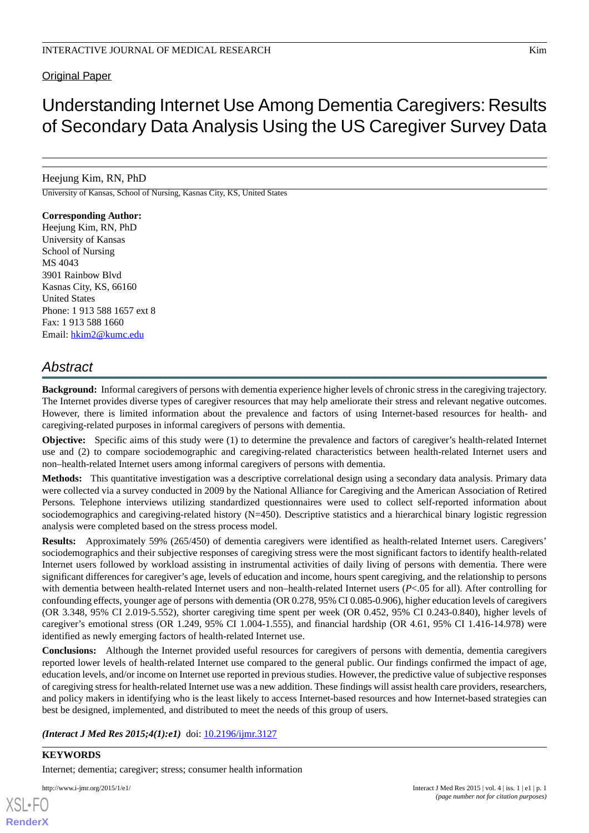#### **Original Paper**

# Understanding Internet Use Among Dementia Caregivers: Results of Secondary Data Analysis Using the US Caregiver Survey Data

Heejung Kim, RN, PhD

University of Kansas, School of Nursing, Kasnas City, KS, United States

**Corresponding Author:** Heejung Kim, RN, PhD University of Kansas School of Nursing MS 4043 3901 Rainbow Blvd Kasnas City, KS, 66160 United States Phone: 1 913 588 1657 ext 8 Fax: 1 913 588 1660 Email: [hkim2@kumc.edu](mailto:hkim2@kumc.edu)

# *Abstract*

**Background:** Informal caregivers of persons with dementia experience higher levels of chronic stress in the caregiving trajectory. The Internet provides diverse types of caregiver resources that may help ameliorate their stress and relevant negative outcomes. However, there is limited information about the prevalence and factors of using Internet-based resources for health- and caregiving-related purposes in informal caregivers of persons with dementia.

**Objective:** Specific aims of this study were (1) to determine the prevalence and factors of caregiver's health-related Internet use and (2) to compare sociodemographic and caregiving-related characteristics between health-related Internet users and non–health-related Internet users among informal caregivers of persons with dementia.

**Methods:** This quantitative investigation was a descriptive correlational design using a secondary data analysis. Primary data were collected via a survey conducted in 2009 by the National Alliance for Caregiving and the American Association of Retired Persons. Telephone interviews utilizing standardized questionnaires were used to collect self-reported information about sociodemographics and caregiving-related history (N=450). Descriptive statistics and a hierarchical binary logistic regression analysis were completed based on the stress process model.

**Results:** Approximately 59% (265/450) of dementia caregivers were identified as health-related Internet users. Caregivers' sociodemographics and their subjective responses of caregiving stress were the most significant factors to identify health-related Internet users followed by workload assisting in instrumental activities of daily living of persons with dementia. There were significant differences for caregiver's age, levels of education and income, hours spent caregiving, and the relationship to persons with dementia between health-related Internet users and non–health-related Internet users (*P*<.05 for all). After controlling for confounding effects, younger age of persons with dementia (OR 0.278, 95% CI 0.085-0.906), higher education levels of caregivers (OR 3.348, 95% CI 2.019-5.552), shorter caregiving time spent per week (OR 0.452, 95% CI 0.243-0.840), higher levels of caregiver's emotional stress (OR 1.249, 95% CI 1.004-1.555), and financial hardship (OR 4.61, 95% CI 1.416-14.978) were identified as newly emerging factors of health-related Internet use.

**Conclusions:** Although the Internet provided useful resources for caregivers of persons with dementia, dementia caregivers reported lower levels of health-related Internet use compared to the general public. Our findings confirmed the impact of age, education levels, and/or income on Internet use reported in previous studies. However, the predictive value of subjective responses of caregiving stress for health-related Internet use was a new addition. These findings will assist health care providers, researchers, and policy makers in identifying who is the least likely to access Internet-based resources and how Internet-based strategies can best be designed, implemented, and distributed to meet the needs of this group of users.

*(Interact J Med Res 2015;4(1):e1)* doi:  $10.2196/ijmr.3127$ 

**KEYWORDS** Internet; dementia; caregiver; stress; consumer health information

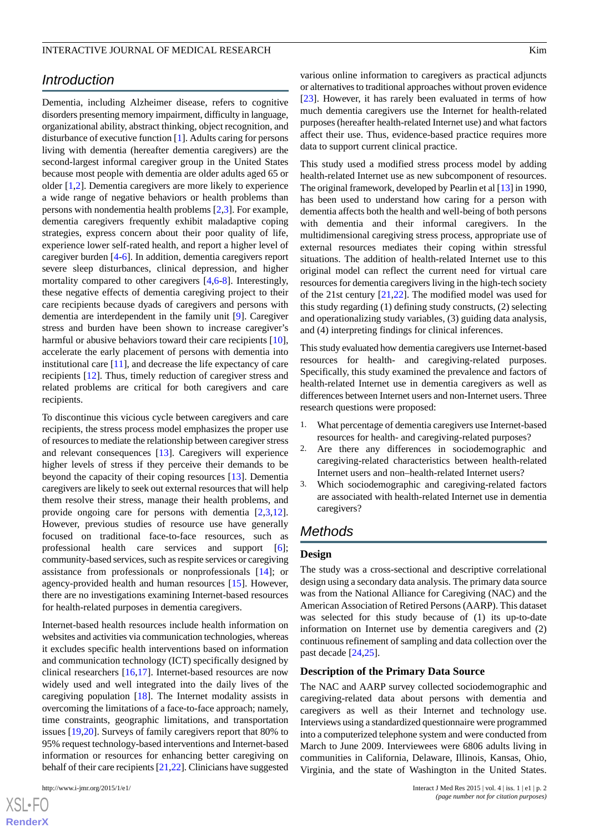# *Introduction*

Dementia, including Alzheimer disease, refers to cognitive disorders presenting memory impairment, difficulty in language, organizational ability, abstract thinking, object recognition, and disturbance of executive function [\[1](#page-9-0)]. Adults caring for persons living with dementia (hereafter dementia caregivers) are the second-largest informal caregiver group in the United States because most people with dementia are older adults aged 65 or older [\[1](#page-9-0)[,2\]](#page-9-1). Dementia caregivers are more likely to experience a wide range of negative behaviors or health problems than persons with nondementia health problems [[2](#page-9-1)[,3](#page-9-2)]. For example, dementia caregivers frequently exhibit maladaptive coping strategies, express concern about their poor quality of life, experience lower self-rated health, and report a higher level of caregiver burden [\[4](#page-9-3)-[6](#page-9-4)]. In addition, dementia caregivers report severe sleep disturbances, clinical depression, and higher mortality compared to other caregivers [[4](#page-9-3)[,6](#page-9-4)-[8\]](#page-9-5). Interestingly, these negative effects of dementia caregiving project to their care recipients because dyads of caregivers and persons with dementia are interdependent in the family unit [[9\]](#page-9-6). Caregiver stress and burden have been shown to increase caregiver's harmful or abusive behaviors toward their care recipients [[10\]](#page-9-7), accelerate the early placement of persons with dementia into institutional care [\[11](#page-9-8)], and decrease the life expectancy of care recipients [[12\]](#page-9-9). Thus, timely reduction of caregiver stress and related problems are critical for both caregivers and care recipients.

To discontinue this vicious cycle between caregivers and care recipients, the stress process model emphasizes the proper use of resources to mediate the relationship between caregiver stress and relevant consequences [[13\]](#page-10-0). Caregivers will experience higher levels of stress if they perceive their demands to be beyond the capacity of their coping resources [[13\]](#page-10-0). Dementia caregivers are likely to seek out external resources that will help them resolve their stress, manage their health problems, and provide ongoing care for persons with dementia [[2](#page-9-1)[,3](#page-9-2),[12\]](#page-9-9). However, previous studies of resource use have generally focused on traditional face-to-face resources, such as professional health care services and support [\[6\]](#page-9-4); community-based services, such as respite services or caregiving assistance from professionals or nonprofessionals [[14\]](#page-10-1); or agency-provided health and human resources [\[15](#page-10-2)]. However, there are no investigations examining Internet-based resources for health-related purposes in dementia caregivers.

Internet-based health resources include health information on websites and activities via communication technologies, whereas it excludes specific health interventions based on information and communication technology (ICT) specifically designed by clinical researchers [[16,](#page-10-3)[17](#page-10-4)]. Internet-based resources are now widely used and well integrated into the daily lives of the caregiving population [[18\]](#page-10-5). The Internet modality assists in overcoming the limitations of a face-to-face approach; namely, time constraints, geographic limitations, and transportation issues [\[19](#page-10-6),[20\]](#page-10-7). Surveys of family caregivers report that 80% to 95% request technology-based interventions and Internet-based information or resources for enhancing better caregiving on behalf of their care recipients [[21](#page-10-8)[,22](#page-10-9)]. Clinicians have suggested

 $XS$ -FO **[RenderX](http://www.renderx.com/)** various online information to caregivers as practical adjuncts or alternatives to traditional approaches without proven evidence [[23\]](#page-10-10). However, it has rarely been evaluated in terms of how much dementia caregivers use the Internet for health-related purposes (hereafter health-related Internet use) and what factors affect their use. Thus, evidence-based practice requires more data to support current clinical practice.

This study used a modified stress process model by adding health-related Internet use as new subcomponent of resources. The original framework, developed by Pearlin et al [[13\]](#page-10-0) in 1990, has been used to understand how caring for a person with dementia affects both the health and well-being of both persons with dementia and their informal caregivers. In the multidimensional caregiving stress process, appropriate use of external resources mediates their coping within stressful situations. The addition of health-related Internet use to this original model can reflect the current need for virtual care resources for dementia caregivers living in the high-tech society of the 21st century [[21,](#page-10-8)[22](#page-10-9)]. The modified model was used for this study regarding (1) defining study constructs, (2) selecting and operationalizing study variables, (3) guiding data analysis, and (4) interpreting findings for clinical inferences.

This study evaluated how dementia caregivers use Internet-based resources for health- and caregiving-related purposes. Specifically, this study examined the prevalence and factors of health-related Internet use in dementia caregivers as well as differences between Internet users and non-Internet users. Three research questions were proposed:

- 1. What percentage of dementia caregivers use Internet-based resources for health- and caregiving-related purposes?
- 2. Are there any differences in sociodemographic and caregiving-related characteristics between health-related Internet users and non–health-related Internet users?
- 3. Which sociodemographic and caregiving-related factors are associated with health-related Internet use in dementia caregivers?

#### *Methods*

#### **Design**

The study was a cross-sectional and descriptive correlational design using a secondary data analysis. The primary data source was from the National Alliance for Caregiving (NAC) and the American Association of Retired Persons (AARP). This dataset was selected for this study because of (1) its up-to-date information on Internet use by dementia caregivers and (2) continuous refinement of sampling and data collection over the past decade [[24](#page-10-11)[,25](#page-10-12)].

#### **Description of the Primary Data Source**

The NAC and AARP survey collected sociodemographic and caregiving-related data about persons with dementia and caregivers as well as their Internet and technology use. Interviews using a standardized questionnaire were programmed into a computerized telephone system and were conducted from March to June 2009. Interviewees were 6806 adults living in communities in California, Delaware, Illinois, Kansas, Ohio, Virginia, and the state of Washington in the United States.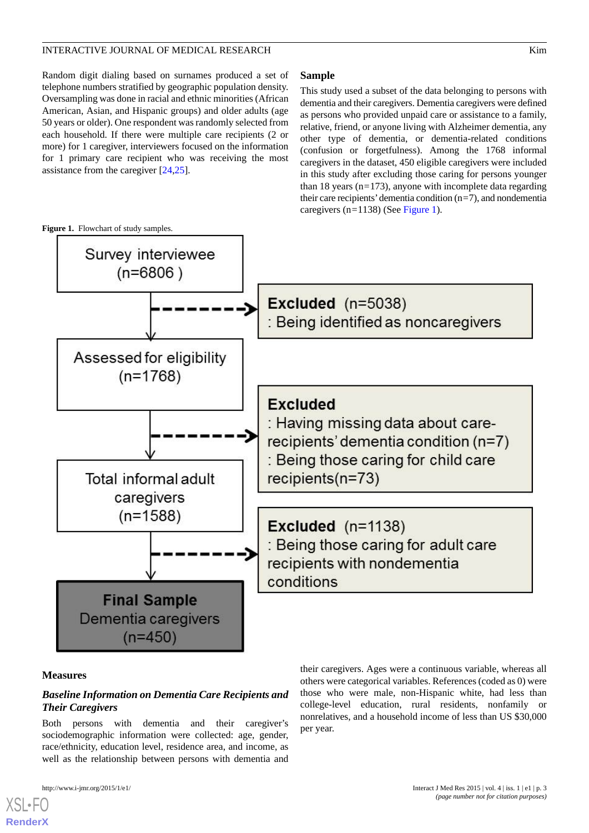#### INTERACTIVE JOURNAL OF MEDICAL RESEARCH WITH THE SECOND MAIN STATES AND THE SECOND MAIN STATES AND MAIN STATES

Random digit dialing based on surnames produced a set of telephone numbers stratified by geographic population density. Oversampling was done in racial and ethnic minorities (African American, Asian, and Hispanic groups) and older adults (age 50 years or older). One respondent was randomly selected from each household. If there were multiple care recipients (2 or more) for 1 caregiver, interviewers focused on the information for 1 primary care recipient who was receiving the most assistance from the caregiver [\[24](#page-10-11),[25\]](#page-10-12).

This study used a subset of the data belonging to persons with dementia and their caregivers. Dementia caregivers were defined as persons who provided unpaid care or assistance to a family, relative, friend, or anyone living with Alzheimer dementia, any other type of dementia, or dementia-related conditions (confusion or forgetfulness). Among the 1768 informal caregivers in the dataset, 450 eligible caregivers were included in this study after excluding those caring for persons younger than 18 years (n*=*173), anyone with incomplete data regarding their care recipients'dementia condition (n*=*7), and nondementia caregivers (n*=*1138) (See [Figure 1\)](#page-2-0).

<span id="page-2-0"></span>

#### **Measures**

[XSL](http://www.w3.org/Style/XSL)•FO **[RenderX](http://www.renderx.com/)**

### *Baseline Information on Dementia Care Recipients and Their Caregivers*

Both persons with dementia and their caregiver's sociodemographic information were collected: age, gender, race/ethnicity, education level, residence area, and income, as well as the relationship between persons with dementia and

their caregivers. Ages were a continuous variable, whereas all others were categorical variables. References (coded as 0) were those who were male, non-Hispanic white, had less than college-level education, rural residents, nonfamily or nonrelatives, and a household income of less than US \$30,000 per year.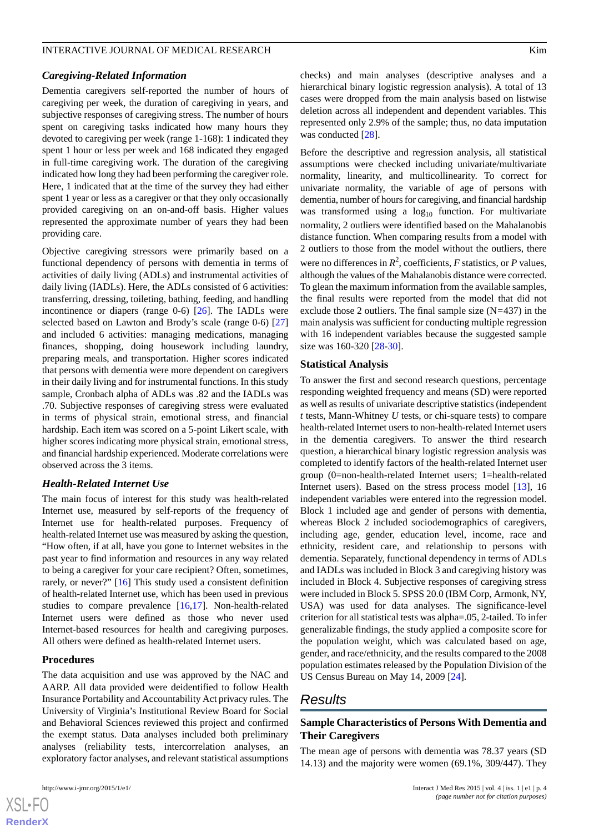#### INTERACTIVE JOURNAL OF MEDICAL RESEARCH WITH THE SECOND MAIN STATES AND THE SECOND MAIN STATES AND MAIN STATES

#### *Caregiving-Related Information*

Dementia caregivers self-reported the number of hours of caregiving per week, the duration of caregiving in years, and subjective responses of caregiving stress. The number of hours spent on caregiving tasks indicated how many hours they devoted to caregiving per week (range 1-168): 1 indicated they spent 1 hour or less per week and 168 indicated they engaged in full-time caregiving work. The duration of the caregiving indicated how long they had been performing the caregiver role. Here, 1 indicated that at the time of the survey they had either spent 1 year or less as a caregiver or that they only occasionally provided caregiving on an on-and-off basis. Higher values represented the approximate number of years they had been providing care.

Objective caregiving stressors were primarily based on a functional dependency of persons with dementia in terms of activities of daily living (ADLs) and instrumental activities of daily living (IADLs). Here, the ADLs consisted of 6 activities: transferring, dressing, toileting, bathing, feeding, and handling incontinence or diapers (range 0-6) [\[26](#page-10-13)]. The IADLs were selected based on Lawton and Brody's scale (range 0-6) [\[27](#page-10-14)] and included 6 activities: managing medications, managing finances, shopping, doing housework including laundry, preparing meals, and transportation. Higher scores indicated that persons with dementia were more dependent on caregivers in their daily living and for instrumental functions. In this study sample, Cronbach alpha of ADLs was .82 and the IADLs was .70. Subjective responses of caregiving stress were evaluated in terms of physical strain, emotional stress, and financial hardship. Each item was scored on a 5-point Likert scale, with higher scores indicating more physical strain, emotional stress, and financial hardship experienced. Moderate correlations were observed across the 3 items.

#### *Health-Related Internet Use*

The main focus of interest for this study was health-related Internet use, measured by self-reports of the frequency of Internet use for health-related purposes. Frequency of health-related Internet use was measured by asking the question, "How often, if at all, have you gone to Internet websites in the past year to find information and resources in any way related to being a caregiver for your care recipient? Often, sometimes, rarely, or never?" [\[16](#page-10-3)] This study used a consistent definition of health-related Internet use, which has been used in previous studies to compare prevalence [[16](#page-10-3)[,17](#page-10-4)]. Non-health-related Internet users were defined as those who never used Internet-based resources for health and caregiving purposes. All others were defined as health-related Internet users.

#### **Procedures**

The data acquisition and use was approved by the NAC and AARP. All data provided were deidentified to follow Health Insurance Portability and Accountability Act privacy rules. The University of Virginia's Institutional Review Board for Social and Behavioral Sciences reviewed this project and confirmed the exempt status. Data analyses included both preliminary analyses (reliability tests, intercorrelation analyses, an exploratory factor analyses, and relevant statistical assumptions

 $XSI - F($ **[RenderX](http://www.renderx.com/)**

checks) and main analyses (descriptive analyses and a hierarchical binary logistic regression analysis). A total of 13 cases were dropped from the main analysis based on listwise deletion across all independent and dependent variables. This represented only 2.9% of the sample; thus, no data imputation was conducted [\[28](#page-10-15)].

Before the descriptive and regression analysis, all statistical assumptions were checked including univariate/multivariate normality, linearity, and multicollinearity. To correct for univariate normality, the variable of age of persons with dementia, number of hours for caregiving, and financial hardship was transformed using a  $log_{10}$  function. For multivariate normality, 2 outliers were identified based on the Mahalanobis distance function. When comparing results from a model with 2 outliers to those from the model without the outliers, there were no differences in  $R^2$ , coefficients, *F* statistics, or *P* values, although the values of the Mahalanobis distance were corrected. To glean the maximum information from the available samples, the final results were reported from the model that did not exclude those 2 outliers. The final sample size (N*=*437) in the main analysis was sufficient for conducting multiple regression with 16 independent variables because the suggested sample size was 160-320 [[28-](#page-10-15)[30](#page-10-16)].

#### **Statistical Analysis**

To answer the first and second research questions, percentage responding weighted frequency and means (SD) were reported as well as results of univariate descriptive statistics (independent *t* tests, Mann-Whitney *U* tests, or chi-square tests) to compare health-related Internet users to non-health-related Internet users in the dementia caregivers. To answer the third research question, a hierarchical binary logistic regression analysis was completed to identify factors of the health-related Internet user group (0=non-health-related Internet users; 1=health-related Internet users). Based on the stress process model [[13\]](#page-10-0), 16 independent variables were entered into the regression model. Block 1 included age and gender of persons with dementia, whereas Block 2 included sociodemographics of caregivers, including age, gender, education level, income, race and ethnicity, resident care, and relationship to persons with dementia. Separately, functional dependency in terms of ADLs and IADLs was included in Block 3 and caregiving history was included in Block 4. Subjective responses of caregiving stress were included in Block 5. SPSS 20.0 (IBM Corp, Armonk, NY, USA) was used for data analyses. The significance-level criterion for all statistical tests was alpha=.05, 2-tailed. To infer generalizable findings, the study applied a composite score for the population weight, which was calculated based on age, gender, and race/ethnicity, and the results compared to the 2008 population estimates released by the Population Division of the US Census Bureau on May 14, 2009 [[24\]](#page-10-11).

#### *Results*

#### **Sample Characteristics of Persons With Dementia and Their Caregivers**

The mean age of persons with dementia was 78.37 years (SD 14.13) and the majority were women (69.1%, 309/447). They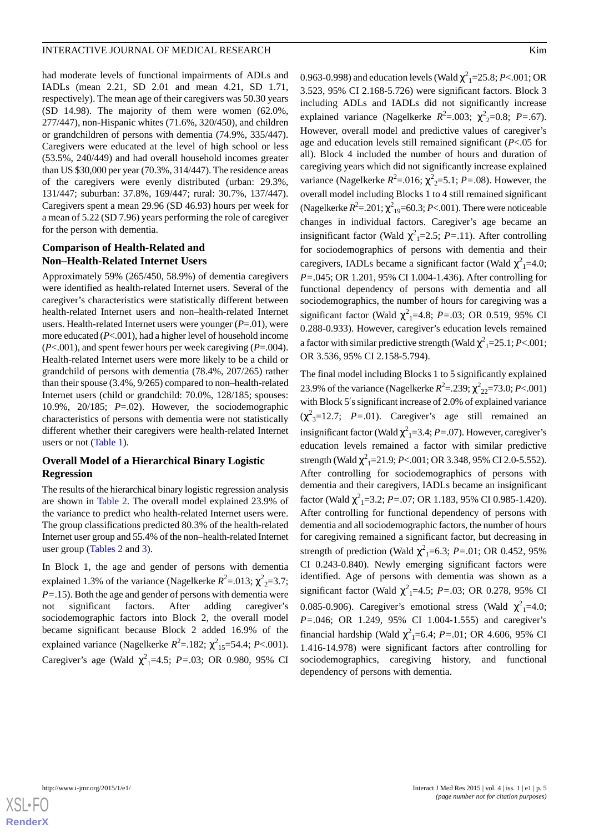#### INTERACTIVE JOURNAL OF MEDICAL RESEARCH WITH THE SECOND MASS IN THE SECOND MASS IN THE SECOND MASS IN THE SECOND MASS IN THE SECOND MASS IN THE SECOND MASS IN THE SECOND MASS IN THE SECOND MASS IN THE SECOND MASS IN THE SE

had moderate levels of functional impairments of ADLs and IADLs (mean 2.21, SD 2.01 and mean 4.21, SD 1.71, respectively). The mean age of their caregivers was 50.30 years (SD 14.98). The majority of them were women (62.0%, 277/447), non-Hispanic whites (71.6%, 320/450), and children or grandchildren of persons with dementia (74.9%, 335/447). Caregivers were educated at the level of high school or less (53.5%, 240/449) and had overall household incomes greater than US \$30,000 per year (70.3%, 314/447). The residence areas of the caregivers were evenly distributed (urban: 29.3%, 131/447; suburban: 37.8%, 169/447; rural: 30.7%, 137/447). Caregivers spent a mean 29.96 (SD 46.93) hours per week for a mean of 5.22 (SD 7.96) years performing the role of caregiver for the person with dementia.

#### **Comparison of Health-Related and Non–Health-Related Internet Users**

Approximately 59% (265/450, 58.9%) of dementia caregivers were identified as health-related Internet users. Several of the caregiver's characteristics were statistically different between health-related Internet users and non–health-related Internet users. Health-related Internet users were younger (*P*=.01), were more educated (*P*<.001), had a higher level of household income (*P*<.001), and spent fewer hours per week caregiving (*P*=.004). Health-related Internet users were more likely to be a child or grandchild of persons with dementia (78.4%, 207/265) rather than their spouse (3.4%, 9/265) compared to non–health-related Internet users (child or grandchild: 70.0%, 128/185; spouses: 10.9%, 20/185; *P*=.02). However, the sociodemographic characteristics of persons with dementia were not statistically different whether their caregivers were health-related Internet users or not [\(Table 1](#page-5-0)).

#### **Overall Model of a Hierarchical Binary Logistic Regression**

The results of the hierarchical binary logistic regression analysis are shown in [Table 2](#page-6-0). The overall model explained 23.9% of the variance to predict who health-related Internet users were. The group classifications predicted 80.3% of the health-related Internet user group and 55.4% of the non–health-related Internet user group ([Tables 2](#page-6-0) and [3\)](#page-7-0).

In Block 1, the age and gender of persons with dementia explained 1.3% of the variance (Nagelkerke  $R^2$ =.013;  $\chi^2$ <sub>2</sub>=3.7; *P=*.15). Both the age and gender of persons with dementia were not significant factors. After adding caregiver's sociodemographic factors into Block 2, the overall model became significant because Block 2 added 16.9% of the explained variance (Nagelkerke  $R^2 = .182$ ;  $\chi^2_{15} = 54.4$ ; *P*<.001). Caregiver's age (Wald  $\chi^2$ <sub>1</sub>=4.5; *P*=.03; OR 0.980, 95% CI

0.963-0.998) and education levels (Wald  $\chi^2$ <sub>1</sub>=25.8; *P*<.001; OR 3.523, 95% CI 2.168-5.726) were significant factors. Block 3 including ADLs and IADLs did not significantly increase explained variance (Nagelkerke  $R^2 = .003$ ;  $\chi^2_{2} = 0.8$ ;  $P = .67$ ). However, overall model and predictive values of caregiver's age and education levels still remained significant (*P*<.05 for all). Block 4 included the number of hours and duration of caregiving years which did not significantly increase explained variance (Nagelkerke  $R^2$ =.016;  $\chi^2$ <sub>2</sub>=5.1; *P*=.08). However, the overall model including Blocks 1 to 4 still remained significant (Nagelkerke  $R^2 = 0.201$ ;  $\chi^2_{19} = 60.3$ ; *P*<.001). There were noticeable changes in individual factors. Caregiver's age became an insignificant factor (Wald  $\chi^2$ <sub>1</sub>=2.5; *P*=.11). After controlling for sociodemographics of persons with dementia and their caregivers, IADLs became a significant factor (Wald  $\chi^2$ <sub>1</sub>=4.0; *P=*.045; OR 1.201, 95% CI 1.004-1.436). After controlling for functional dependency of persons with dementia and all sociodemographics, the number of hours for caregiving was a significant factor (Wald  $\chi^2$ <sub>1</sub>=4.8; *P*=.03; OR 0.519, 95% CI 0.288-0.933). However, caregiver's education levels remained a factor with similar predictive strength (Wald  $\chi^2$ <sub>1</sub>=25.1; *P*<.001; OR 3.536, 95% CI 2.158-5.794).

The final model including Blocks 1 to 5 significantly explained 23.9% of the variance (Nagelkerke  $R^2 = 239$ ;  $\chi^2_{22} = 73.0$ ; *P*<.001) with Block 5′s significant increase of 2.0% of explained variance  $(\chi^2_{3} = 12.7; P = .01)$ . Caregiver's age still remained an insignificant factor (Wald  $\chi^2$ <sub>1</sub>=3.4; *P*=.07). However, caregiver's education levels remained a factor with similar predictive strength (Wald  $\chi^2$ <sub>1</sub>=21.9; *P*<.001; OR 3.348, 95% CI 2.0-5.552). After controlling for sociodemographics of persons with dementia and their caregivers, IADLs became an insignificant factor (Wald  $\chi^2$ <sub>1</sub>=3.2; *P*=.07; OR 1.183, 95% CI 0.985-1.420). After controlling for functional dependency of persons with dementia and all sociodemographic factors, the number of hours for caregiving remained a significant factor, but decreasing in strength of prediction (Wald  $\chi^2$ <sub>1</sub>=6.3; *P*=.01; OR 0.452, 95% CI 0.243-0.840). Newly emerging significant factors were identified. Age of persons with dementia was shown as a significant factor (Wald  $\chi^2$ <sub>1</sub>=4.5; *P*=.03; OR 0.278, 95% CI 0.085-0.906). Caregiver's emotional stress (Wald  $\chi^2$ <sub>1</sub>=4.0; *P=*.046; OR 1.249, 95% CI 1.004-1.555) and caregiver's financial hardship (Wald  $\chi^2$ <sub>1</sub>=6.4; *P*=.01; OR 4.606, 95% CI 1.416-14.978) were significant factors after controlling for sociodemographics, caregiving history, and functional dependency of persons with dementia.

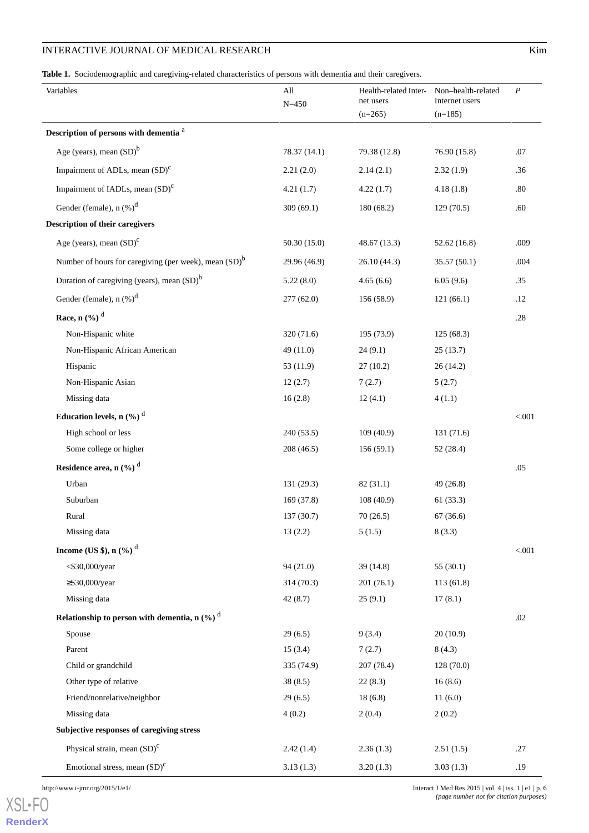#### INTERACTIVE JOURNAL OF MEDICAL RESEARCH Kim

<span id="page-5-0"></span>**Table 1.** Sociodemographic and caregiving-related characteristics of persons with dementia and their caregivers.

| Variables                                                         | All<br>$N = 450$ | Health-related Inter- Non-health-related<br>net users<br>$(n=265)$ | Internet users<br>$(n=185)$ | $\boldsymbol{P}$ |
|-------------------------------------------------------------------|------------------|--------------------------------------------------------------------|-----------------------------|------------------|
| Description of persons with dementia <sup>a</sup>                 |                  |                                                                    |                             |                  |
| Age (years), mean $(SD)^b$                                        | 78.37 (14.1)     | 79.38 (12.8)                                                       | 76.90 (15.8)                | .07              |
| Impairment of ADLs, mean $(SD)^{c}$                               | 2.21(2.0)        | 2.14(2.1)                                                          | 2.32(1.9)                   | .36              |
| Impairment of IADLs, mean (SD) <sup>c</sup>                       | 4.21(1.7)        | 4.22(1.7)                                                          | 4.18(1.8)                   | $.80\,$          |
| Gender (female), $n$ $(\%)^d$                                     | 309(69.1)        | 180 (68.2)                                                         | 129(70.5)                   | .60              |
| <b>Description of their caregivers</b>                            |                  |                                                                    |                             |                  |
| Age (years), mean $(SD)^c$                                        | 50.30(15.0)      | 48.67 (13.3)                                                       | 52.62 (16.8)                | .009             |
| Number of hours for caregiving (per week), mean (SD) <sup>b</sup> | 29.96 (46.9)     | 26.10(44.3)                                                        | 35.57 (50.1)                | .004             |
| Duration of caregiving (years), mean $(SD)^b$                     | 5.22(8.0)        | 4.65(6.6)                                                          | 6.05(9.6)                   | .35              |
| Gender (female), $n$ $%$ <sup>d</sup>                             | 277(62.0)        | 156(58.9)                                                          | 121(66.1)                   | .12              |
| Race, n $(\frac{6}{6})^d$                                         |                  |                                                                    |                             | $.28\,$          |
| Non-Hispanic white                                                | 320 (71.6)       | 195 (73.9)                                                         | 125(68.3)                   |                  |
| Non-Hispanic African American                                     | 49 (11.0)        | 24(9.1)                                                            | 25(13.7)                    |                  |
| Hispanic                                                          | 53(11.9)         | 27(10.2)                                                           | 26(14.2)                    |                  |
| Non-Hispanic Asian                                                | 12(2.7)          | 7(2.7)                                                             | 5(2.7)                      |                  |
| Missing data                                                      | 16(2.8)          | 12(4.1)                                                            | 4(1.1)                      |                  |
| Education levels, n $(\%)$ <sup>d</sup>                           |                  |                                                                    |                             | < .001           |
| High school or less                                               | 240(53.5)        | 109(40.9)                                                          | 131 (71.6)                  |                  |
| Some college or higher                                            | 208(46.5)        | 156(59.1)                                                          | 52 (28.4)                   |                  |
| Residence area, n (%) <sup>d</sup>                                |                  |                                                                    |                             | .05              |
| Urban                                                             | 131 (29.3)       | 82 (31.1)                                                          | 49 (26.8)                   |                  |
| Suburban                                                          | 169(37.8)        | 108(40.9)                                                          | 61(33.3)                    |                  |
| Rural                                                             | 137(30.7)        | 70(26.5)                                                           | 67(36.6)                    |                  |
| Missing data                                                      | 13(2.2)          | 5(1.5)                                                             | 8(3.3)                      |                  |
| Income (US \$), n $(\frac{9}{6})^d$                               |                  |                                                                    |                             | $< 001$          |
| $<$ \$30,000/year                                                 | 94 (21.0)        | 39(14.8)                                                           | 55(30.1)                    |                  |
| $\geq$ \$30,000/year                                              | 314(70.3)        | 201(76.1)                                                          | 113(61.8)                   |                  |
| Missing data                                                      | 42(8.7)          | 25(9.1)                                                            | 17(8.1)                     |                  |
| Relationship to person with dementia, n $(\%)$ <sup>d</sup>       |                  |                                                                    |                             | .02              |
| Spouse                                                            | 29(6.5)          | 9(3.4)                                                             | 20(10.9)                    |                  |
| Parent                                                            | 15(3.4)          | 7(2.7)                                                             | 8(4.3)                      |                  |
| Child or grandchild                                               | 335 (74.9)       | 207 (78.4)                                                         | 128 (70.0)                  |                  |
| Other type of relative                                            | 38(8.5)          | 22(8.3)                                                            | 16(8.6)                     |                  |
| Friend/nonrelative/neighbor                                       | 29(6.5)          | 18(6.8)                                                            | 11(6.0)                     |                  |
| Missing data                                                      | 4(0.2)           | 2(0.4)                                                             | 2(0.2)                      |                  |
| Subjective responses of caregiving stress                         |                  |                                                                    |                             |                  |
| Physical strain, mean $(SD)^c$                                    | 2.42(1.4)        | 2.36(1.3)                                                          | 2.51(1.5)                   | .27              |
| Emotional stress, mean $(SD)^{c}$                                 | 3.13(1.3)        | 3.20(1.3)                                                          | 3.03(1.3)                   | .19              |

[XSL](http://www.w3.org/Style/XSL)•FO **[RenderX](http://www.renderx.com/)**

http://www.i-jmr.org/2015/1/e1/ Interact J Med Res 2015 | vol. 4 | iss. 1 | e1 | p. 6 *(page number not for citation purposes)*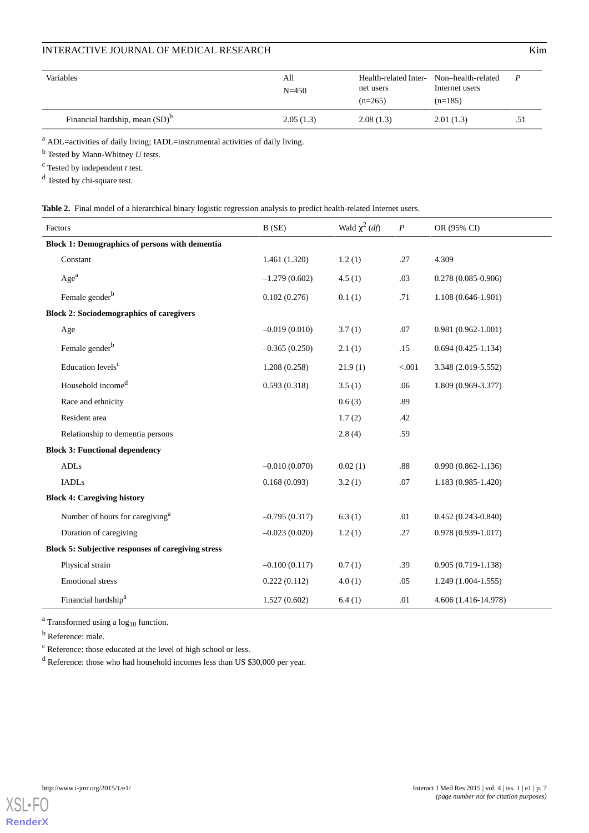# **INTERACTIVE JOURNAL OF MEDICAL RESEARCH KIM**

| Variables                         | All<br>$N = 450$ | Health-related Inter-<br>net users<br>$(n=265)$ | Non-health-related<br>Internet users<br>$(n=185)$ |     |
|-----------------------------------|------------------|-------------------------------------------------|---------------------------------------------------|-----|
| Financial hardship, mean $(SD)^b$ | 2.05(1.3)        | 2.08(1.3)                                       | 2.01(1.3)                                         | .51 |

<sup>a</sup> ADL=activities of daily living; IADL=instrumental activities of daily living.

<sup>b</sup> Tested by Mann-Whitney *U* tests.

<sup>c</sup> Tested by independent *t* test.

<span id="page-6-0"></span><sup>d</sup> Tested by chi-square test.

|  |  |  |  |  |  |  |  |  |  |  | Table 2. Final model of a hierarchical binary logistic regression analysis to predict health-related Internet users |
|--|--|--|--|--|--|--|--|--|--|--|---------------------------------------------------------------------------------------------------------------------|
|--|--|--|--|--|--|--|--|--|--|--|---------------------------------------------------------------------------------------------------------------------|

| Factors                                               | B(SE)           | Wald $\chi^2$ ( <i>df</i> ) | $\boldsymbol{P}$ | OR (95% CI)            |
|-------------------------------------------------------|-----------------|-----------------------------|------------------|------------------------|
| <b>Block 1: Demographics of persons with dementia</b> |                 |                             |                  |                        |
| Constant                                              | 1.461 (1.320)   | 1.2(1)                      | .27              | 4.309                  |
| Age <sup>a</sup>                                      | $-1.279(0.602)$ | 4.5(1)                      | .03              | $0.278(0.085-0.906)$   |
| Female gender <sup>b</sup>                            | 0.102(0.276)    | 0.1(1)                      | .71              | $1.108(0.646-1.901)$   |
| <b>Block 2: Sociodemographics of caregivers</b>       |                 |                             |                  |                        |
| Age                                                   | $-0.019(0.010)$ | 3.7(1)                      | .07              | $0.981(0.962 - 1.001)$ |
| Female gender <sup>b</sup>                            | $-0.365(0.250)$ | 2.1(1)                      | .15              | $0.694(0.425-1.134)$   |
| Education levels <sup>c</sup>                         | 1.208(0.258)    | 21.9(1)                     | < .001           | 3.348 (2.019-5.552)    |
| Household income <sup>d</sup>                         | 0.593(0.318)    | 3.5(1)                      | .06              | 1.809 (0.969-3.377)    |
| Race and ethnicity                                    |                 | 0.6(3)                      | .89              |                        |
| Resident area                                         |                 | 1.7(2)                      | .42              |                        |
| Relationship to dementia persons                      |                 | 2.8(4)                      | .59              |                        |
| <b>Block 3: Functional dependency</b>                 |                 |                             |                  |                        |
| ADLs                                                  | $-0.010(0.070)$ | 0.02(1)                     | $.88\,$          | $0.990(0.862 - 1.136)$ |
| <b>IADLs</b>                                          | 0.168(0.093)    | 3.2(1)                      | .07              | 1.183 (0.985-1.420)    |
| <b>Block 4: Caregiving history</b>                    |                 |                             |                  |                        |
| Number of hours for caregiving <sup>a</sup>           | $-0.795(0.317)$ | 6.3(1)                      | .01              | $0.452(0.243-0.840)$   |
| Duration of caregiving                                | $-0.023(0.020)$ | 1.2(1)                      | .27              | $0.978(0.939-1.017)$   |
| Block 5: Subjective responses of caregiving stress    |                 |                             |                  |                        |
| Physical strain                                       | $-0.100(0.117)$ | 0.7(1)                      | .39              | $0.905(0.719-1.138)$   |
| <b>Emotional stress</b>                               | 0.222(0.112)    | 4.0(1)                      | .05              | $1.249(1.004-1.555)$   |
| Financial hardship <sup>a</sup>                       | 1.527(0.602)    | 6.4(1)                      | .01              | 4.606 (1.416-14.978)   |

<sup>a</sup> Transformed using a  $log_{10}$  function.

<sup>b</sup> Reference: male.

<sup>c</sup> Reference: those educated at the level of high school or less.

<sup>d</sup> Reference: those who had household incomes less than US \$30,000 per year.

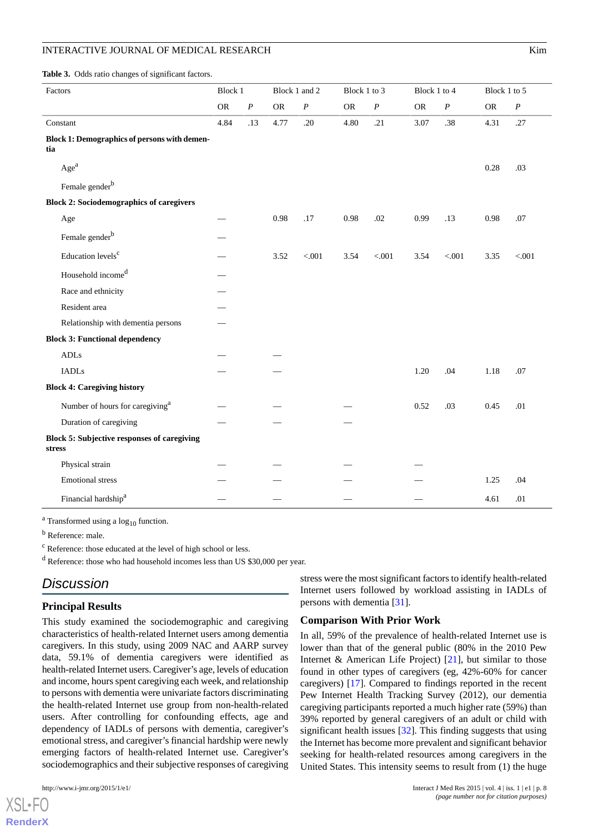#### INTERACTIVE JOURNAL OF MEDICAL RESEARCH WITH THE SECOND MAIN STATES AND THE SECOND MAIN STATES AND MAIN STATES

<span id="page-7-0"></span>**Table 3.** Odds ratio changes of significant factors.

| Factors                                                               | <b>Block 1</b> |                  | Block 1 and 2 |          | Block 1 to 3 |          | Block 1 to 4 |                  | Block 1 to 5 |                  |
|-----------------------------------------------------------------------|----------------|------------------|---------------|----------|--------------|----------|--------------|------------------|--------------|------------------|
|                                                                       | ${\sf OR}$     | $\boldsymbol{P}$ | <b>OR</b>     | $\cal P$ | <b>OR</b>    | $\cal P$ | ${\sf OR}$   | $\boldsymbol{P}$ | <b>OR</b>    | $\boldsymbol{P}$ |
| Constant                                                              | 4.84           | .13              | 4.77          | .20      | 4.80         | .21      | 3.07         | .38              | 4.31         | .27              |
| <b>Block 1: Demographics of persons with demen-</b><br>tia            |                |                  |               |          |              |          |              |                  |              |                  |
| Age <sup>a</sup>                                                      |                |                  |               |          |              |          |              |                  | 0.28         | .03              |
| Female gender <sup>b</sup>                                            |                |                  |               |          |              |          |              |                  |              |                  |
| <b>Block 2: Sociodemographics of caregivers</b>                       |                |                  |               |          |              |          |              |                  |              |                  |
| Age                                                                   |                |                  | 0.98          | .17      | 0.98         | .02      | 0.99         | .13              | 0.98         | .07              |
| Female gender <sup>b</sup>                                            |                |                  |               |          |              |          |              |                  |              |                  |
| Education levels <sup>c</sup>                                         |                |                  | 3.52          | < .001   | 3.54         | < .001   | 3.54         | $< 001$          | 3.35         | < .001           |
| Household income <sup>d</sup>                                         |                |                  |               |          |              |          |              |                  |              |                  |
| Race and ethnicity                                                    |                |                  |               |          |              |          |              |                  |              |                  |
| Resident area                                                         |                |                  |               |          |              |          |              |                  |              |                  |
| Relationship with dementia persons                                    |                |                  |               |          |              |          |              |                  |              |                  |
| <b>Block 3: Functional dependency</b>                                 |                |                  |               |          |              |          |              |                  |              |                  |
| $\mbox{\rm ADLs}$                                                     |                |                  |               |          |              |          |              |                  |              |                  |
| <b>IADLs</b>                                                          |                |                  |               |          |              |          | 1.20         | .04              | 1.18         | .07              |
| <b>Block 4: Caregiving history</b>                                    |                |                  |               |          |              |          |              |                  |              |                  |
| Number of hours for caregiving <sup>a</sup>                           |                |                  |               |          |              |          | 0.52         | .03              | 0.45         | .01              |
| Duration of caregiving                                                |                |                  |               |          |              |          |              |                  |              |                  |
| <b>Block 5: Subjective responses of caregiving</b><br>$_{\rm stress}$ |                |                  |               |          |              |          |              |                  |              |                  |
| Physical strain                                                       |                |                  |               |          |              |          |              |                  |              |                  |
| <b>Emotional stress</b>                                               |                |                  |               |          |              |          |              |                  | 1.25         | .04              |
| Financial hardship <sup>a</sup>                                       |                |                  |               |          |              |          |              |                  | 4.61         | .01              |

 $a$  Transformed using a  $log_{10}$  function.

<sup>b</sup> Reference: male.

<sup>c</sup> Reference: those educated at the level of high school or less.

<sup>d</sup> Reference: those who had household incomes less than US \$30,000 per year.

## *Discussion*

#### **Principal Results**

This study examined the sociodemographic and caregiving characteristics of health-related Internet users among dementia caregivers. In this study, using 2009 NAC and AARP survey data, 59.1% of dementia caregivers were identified as health-related Internet users. Caregiver's age, levels of education and income, hours spent caregiving each week, and relationship to persons with dementia were univariate factors discriminating the health-related Internet use group from non-health-related users. After controlling for confounding effects, age and dependency of IADLs of persons with dementia, caregiver's emotional stress, and caregiver's financial hardship were newly emerging factors of health-related Internet use. Caregiver's sociodemographics and their subjective responses of caregiving

 $X$ SL•F $C$ **[RenderX](http://www.renderx.com/)**

stress were the most significant factors to identify health-related Internet users followed by workload assisting in IADLs of persons with dementia [[31\]](#page-10-17).

#### **Comparison With Prior Work**

In all, 59% of the prevalence of health-related Internet use is lower than that of the general public (80% in the 2010 Pew Internet & American Life Project)  $[21]$  $[21]$ , but similar to those found in other types of caregivers (eg, 42%-60% for cancer caregivers) [\[17](#page-10-4)]. Compared to findings reported in the recent Pew Internet Health Tracking Survey (2012), our dementia caregiving participants reported a much higher rate (59%) than 39% reported by general caregivers of an adult or child with significant health issues [[32\]](#page-10-18). This finding suggests that using the Internet has become more prevalent and significant behavior seeking for health-related resources among caregivers in the United States. This intensity seems to result from (1) the huge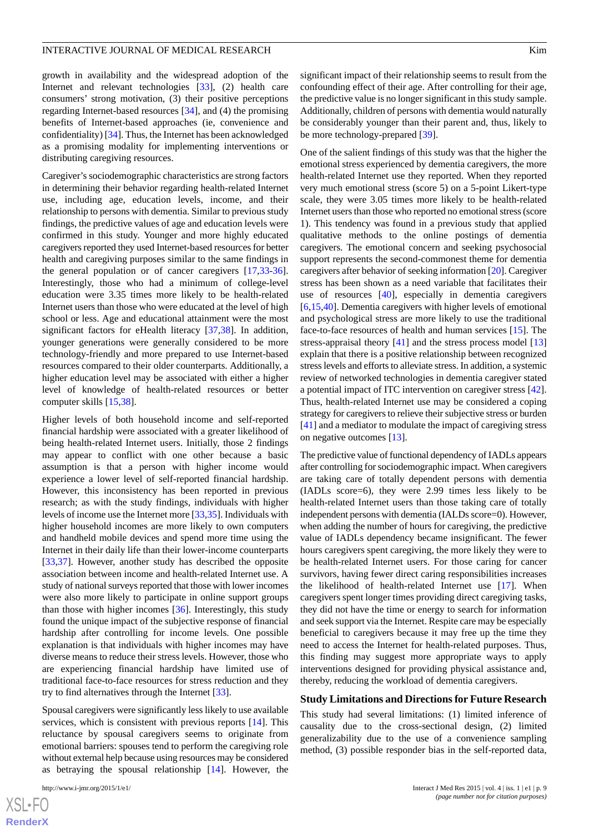growth in availability and the widespread adoption of the Internet and relevant technologies [[33\]](#page-10-19), (2) health care consumers' strong motivation, (3) their positive perceptions regarding Internet-based resources [[34\]](#page-10-20), and (4) the promising benefits of Internet-based approaches (ie, convenience and confidentiality) [\[34](#page-10-20)]. Thus, the Internet has been acknowledged as a promising modality for implementing interventions or distributing caregiving resources.

Caregiver's sociodemographic characteristics are strong factors in determining their behavior regarding health-related Internet use, including age, education levels, income, and their relationship to persons with dementia. Similar to previous study findings, the predictive values of age and education levels were confirmed in this study. Younger and more highly educated caregivers reported they used Internet-based resources for better health and caregiving purposes similar to the same findings in the general population or of cancer caregivers [[17](#page-10-4)[,33](#page-10-19)-[36\]](#page-10-21). Interestingly, those who had a minimum of college-level education were 3.35 times more likely to be health-related Internet users than those who were educated at the level of high school or less. Age and educational attainment were the most significant factors for eHealth literacy [\[37](#page-11-0)[,38](#page-11-1)]. In addition, younger generations were generally considered to be more technology-friendly and more prepared to use Internet-based resources compared to their older counterparts. Additionally, a higher education level may be associated with either a higher level of knowledge of health-related resources or better computer skills [[15,](#page-10-2)[38](#page-11-1)].

Higher levels of both household income and self-reported financial hardship were associated with a greater likelihood of being health-related Internet users. Initially, those 2 findings may appear to conflict with one other because a basic assumption is that a person with higher income would experience a lower level of self-reported financial hardship. However, this inconsistency has been reported in previous research; as with the study findings, individuals with higher levels of income use the Internet more [[33,](#page-10-19)[35\]](#page-10-22). Individuals with higher household incomes are more likely to own computers and handheld mobile devices and spend more time using the Internet in their daily life than their lower-income counterparts [[33](#page-10-19)[,37](#page-11-0)]. However, another study has described the opposite association between income and health-related Internet use. A study of national surveys reported that those with lower incomes were also more likely to participate in online support groups than those with higher incomes [\[36](#page-10-21)]. Interestingly, this study found the unique impact of the subjective response of financial hardship after controlling for income levels. One possible explanation is that individuals with higher incomes may have diverse means to reduce their stress levels. However, those who are experiencing financial hardship have limited use of traditional face-to-face resources for stress reduction and they try to find alternatives through the Internet [\[33](#page-10-19)].

Spousal caregivers were significantly less likely to use available services, which is consistent with previous reports [[14\]](#page-10-1). This reluctance by spousal caregivers seems to originate from emotional barriers: spouses tend to perform the caregiving role without external help because using resources may be considered as betraying the spousal relationship [[14\]](#page-10-1). However, the

[XSL](http://www.w3.org/Style/XSL)•FO **[RenderX](http://www.renderx.com/)** significant impact of their relationship seems to result from the confounding effect of their age. After controlling for their age, the predictive value is no longer significant in this study sample. Additionally, children of persons with dementia would naturally be considerably younger than their parent and, thus, likely to be more technology-prepared [\[39](#page-11-2)].

One of the salient findings of this study was that the higher the emotional stress experienced by dementia caregivers, the more health-related Internet use they reported. When they reported very much emotional stress (score 5) on a 5-point Likert-type scale, they were 3.05 times more likely to be health-related Internet users than those who reported no emotional stress (score 1). This tendency was found in a previous study that applied qualitative methods to the online postings of dementia caregivers. The emotional concern and seeking psychosocial support represents the second-commonest theme for dementia caregivers after behavior of seeking information [[20](#page-10-7)]. Caregiver stress has been shown as a need variable that facilitates their use of resources [[40\]](#page-11-3), especially in dementia caregivers [[6](#page-9-4)[,15](#page-10-2),[40\]](#page-11-3). Dementia caregivers with higher levels of emotional and psychological stress are more likely to use the traditional face-to-face resources of health and human services [[15\]](#page-10-2). The stress-appraisal theory [\[41](#page-11-4)] and the stress process model [\[13](#page-10-0)] explain that there is a positive relationship between recognized stress levels and efforts to alleviate stress. In addition, a systemic review of networked technologies in dementia caregiver stated a potential impact of ITC intervention on caregiver stress [[42\]](#page-11-5). Thus, health-related Internet use may be considered a coping strategy for caregivers to relieve their subjective stress or burden [[41\]](#page-11-4) and a mediator to modulate the impact of caregiving stress on negative outcomes [\[13](#page-10-0)].

The predictive value of functional dependency of IADLs appears after controlling for sociodemographic impact. When caregivers are taking care of totally dependent persons with dementia (IADLs score=6), they were 2.99 times less likely to be health-related Internet users than those taking care of totally independent persons with dementia (IALDs score=0). However, when adding the number of hours for caregiving, the predictive value of IADLs dependency became insignificant. The fewer hours caregivers spent caregiving, the more likely they were to be health-related Internet users. For those caring for cancer survivors, having fewer direct caring responsibilities increases the likelihood of health-related Internet use [\[17](#page-10-4)]. When caregivers spent longer times providing direct caregiving tasks, they did not have the time or energy to search for information and seek support via the Internet. Respite care may be especially beneficial to caregivers because it may free up the time they need to access the Internet for health-related purposes. Thus, this finding may suggest more appropriate ways to apply interventions designed for providing physical assistance and, thereby, reducing the workload of dementia caregivers.

#### **Study Limitations and Directions for Future Research**

This study had several limitations: (1) limited inference of causality due to the cross-sectional design, (2) limited generalizability due to the use of a convenience sampling method, (3) possible responder bias in the self-reported data,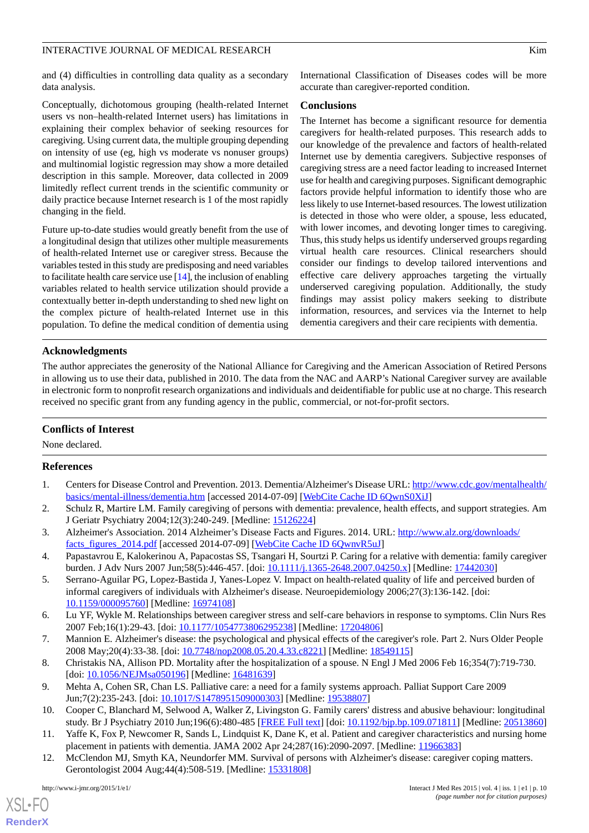#### INTERACTIVE JOURNAL OF MEDICAL RESEARCH WITH THE SECOND MANAGEMENT CONTROL AND THE SECOND MANAGEMENT CONTROL AT A STREET AND THE SECOND MANAGEMENT OF MEDICAL RESEARCH THE SECOND MANAGEMENT OF MEDICAL RESEARCH THE SECOND MA

and (4) difficulties in controlling data quality as a secondary data analysis.

Conceptually, dichotomous grouping (health-related Internet users vs non–health-related Internet users) has limitations in explaining their complex behavior of seeking resources for caregiving. Using current data, the multiple grouping depending on intensity of use (eg, high vs moderate vs nonuser groups) and multinomial logistic regression may show a more detailed description in this sample. Moreover, data collected in 2009 limitedly reflect current trends in the scientific community or daily practice because Internet research is 1 of the most rapidly changing in the field.

Future up-to-date studies would greatly benefit from the use of a longitudinal design that utilizes other multiple measurements of health-related Internet use or caregiver stress. Because the variables tested in this study are predisposing and need variables to facilitate health care service use [\[14](#page-10-1)], the inclusion of enabling variables related to health service utilization should provide a contextually better in-depth understanding to shed new light on the complex picture of health-related Internet use in this population. To define the medical condition of dementia using

International Classification of Diseases codes will be more accurate than caregiver-reported condition.

#### **Conclusions**

The Internet has become a significant resource for dementia caregivers for health-related purposes. This research adds to our knowledge of the prevalence and factors of health-related Internet use by dementia caregivers. Subjective responses of caregiving stress are a need factor leading to increased Internet use for health and caregiving purposes. Significant demographic factors provide helpful information to identify those who are less likely to use Internet-based resources. The lowest utilization is detected in those who were older, a spouse, less educated, with lower incomes, and devoting longer times to caregiving. Thus, this study helps us identify underserved groups regarding virtual health care resources. Clinical researchers should consider our findings to develop tailored interventions and effective care delivery approaches targeting the virtually underserved caregiving population. Additionally, the study findings may assist policy makers seeking to distribute information, resources, and services via the Internet to help dementia caregivers and their care recipients with dementia.

#### **Acknowledgments**

The author appreciates the generosity of the National Alliance for Caregiving and the American Association of Retired Persons in allowing us to use their data, published in 2010. The data from the NAC and AARP's National Caregiver survey are available in electronic form to nonprofit research organizations and individuals and deidentifiable for public use at no charge. This research received no specific grant from any funding agency in the public, commercial, or not-for-profit sectors.

#### **Conflicts of Interest**

<span id="page-9-0"></span>None declared.

#### <span id="page-9-1"></span>**References**

- <span id="page-9-2"></span>1. Centers for Disease Control and Prevention. 2013. Dementia/Alzheimer's Disease URL: [http://www.cdc.gov/mentalhealth/](http://www.cdc.gov/mentalhealth/basics/mental-illness/dementia.htm) [basics/mental-illness/dementia.htm](http://www.cdc.gov/mentalhealth/basics/mental-illness/dementia.htm) [accessed 2014-07-09] [\[WebCite Cache ID 6QwnS0XiJ](http://www.webcitation.org/

                                    6QwnS0XiJ)]
- <span id="page-9-3"></span>2. Schulz R, Martire LM. Family caregiving of persons with dementia: prevalence, health effects, and support strategies. Am J Geriatr Psychiatry 2004;12(3):240-249. [Medline: [15126224\]](http://www.ncbi.nlm.nih.gov/entrez/query.fcgi?cmd=Retrieve&db=PubMed&list_uids=15126224&dopt=Abstract)
- 3. Alzheimer's Association. 2014 Alzheimer's Disease Facts and Figures. 2014. URL: [http://www.alz.org/downloads/](http://www.alz.org/downloads/facts_figures_2014.pdf) [facts\\_figures\\_2014.pdf](http://www.alz.org/downloads/facts_figures_2014.pdf) [accessed 2014-07-09] [[WebCite Cache ID 6QwnvR5uJ](http://www.webcitation.org/

                                    6QwnvR5uJ)]
- <span id="page-9-4"></span>4. Papastavrou E, Kalokerinou A, Papacostas SS, Tsangari H, Sourtzi P. Caring for a relative with dementia: family caregiver burden. J Adv Nurs 2007 Jun;58(5):446-457. [doi: [10.1111/j.1365-2648.2007.04250.x\]](http://dx.doi.org/10.1111/j.1365-2648.2007.04250.x) [Medline: [17442030\]](http://www.ncbi.nlm.nih.gov/entrez/query.fcgi?cmd=Retrieve&db=PubMed&list_uids=17442030&dopt=Abstract)
- <span id="page-9-5"></span>5. Serrano-Aguilar PG, Lopez-Bastida J, Yanes-Lopez V. Impact on health-related quality of life and perceived burden of informal caregivers of individuals with Alzheimer's disease. Neuroepidemiology 2006;27(3):136-142. [doi: [10.1159/000095760\]](http://dx.doi.org/10.1159/000095760) [Medline: [16974108\]](http://www.ncbi.nlm.nih.gov/entrez/query.fcgi?cmd=Retrieve&db=PubMed&list_uids=16974108&dopt=Abstract)
- <span id="page-9-6"></span>6. Lu YF, Wykle M. Relationships between caregiver stress and self-care behaviors in response to symptoms. Clin Nurs Res 2007 Feb;16(1):29-43. [doi: [10.1177/1054773806295238](http://dx.doi.org/10.1177/1054773806295238)] [Medline: [17204806](http://www.ncbi.nlm.nih.gov/entrez/query.fcgi?cmd=Retrieve&db=PubMed&list_uids=17204806&dopt=Abstract)]
- <span id="page-9-7"></span>7. Mannion E. Alzheimer's disease: the psychological and physical effects of the caregiver's role. Part 2. Nurs Older People 2008 May;20(4):33-38. [doi: [10.7748/nop2008.05.20.4.33.c8221](http://dx.doi.org/10.7748/nop2008.05.20.4.33.c8221)] [Medline: [18549115](http://www.ncbi.nlm.nih.gov/entrez/query.fcgi?cmd=Retrieve&db=PubMed&list_uids=18549115&dopt=Abstract)]
- <span id="page-9-8"></span>8. Christakis NA, Allison PD. Mortality after the hospitalization of a spouse. N Engl J Med 2006 Feb 16;354(7):719-730. [doi: [10.1056/NEJMsa050196\]](http://dx.doi.org/10.1056/NEJMsa050196) [Medline: [16481639](http://www.ncbi.nlm.nih.gov/entrez/query.fcgi?cmd=Retrieve&db=PubMed&list_uids=16481639&dopt=Abstract)]
- <span id="page-9-9"></span>9. Mehta A, Cohen SR, Chan LS. Palliative care: a need for a family systems approach. Palliat Support Care 2009 Jun;7(2):235-243. [doi: [10.1017/S1478951509000303](http://dx.doi.org/10.1017/S1478951509000303)] [Medline: [19538807\]](http://www.ncbi.nlm.nih.gov/entrez/query.fcgi?cmd=Retrieve&db=PubMed&list_uids=19538807&dopt=Abstract)
- 10. Cooper C, Blanchard M, Selwood A, Walker Z, Livingston G. Family carers' distress and abusive behaviour: longitudinal study. Br J Psychiatry 2010 Jun;196(6):480-485 [[FREE Full text](http://bjp.rcpsych.org/cgi/pmidlookup?view=long&pmid=20513860)] [doi: [10.1192/bjp.bp.109.071811\]](http://dx.doi.org/10.1192/bjp.bp.109.071811) [Medline: [20513860](http://www.ncbi.nlm.nih.gov/entrez/query.fcgi?cmd=Retrieve&db=PubMed&list_uids=20513860&dopt=Abstract)]
- 11. Yaffe K, Fox P, Newcomer R, Sands L, Lindquist K, Dane K, et al. Patient and caregiver characteristics and nursing home placement in patients with dementia. JAMA 2002 Apr 24;287(16):2090-2097. [Medline: [11966383](http://www.ncbi.nlm.nih.gov/entrez/query.fcgi?cmd=Retrieve&db=PubMed&list_uids=11966383&dopt=Abstract)]
- 12. McClendon MJ, Smyth KA, Neundorfer MM. Survival of persons with Alzheimer's disease: caregiver coping matters. Gerontologist 2004 Aug; 44(4): 508-519. [Medline: [15331808](http://www.ncbi.nlm.nih.gov/entrez/query.fcgi?cmd=Retrieve&db=PubMed&list_uids=15331808&dopt=Abstract)]

 $XS$  $\cdot$ FC **[RenderX](http://www.renderx.com/)**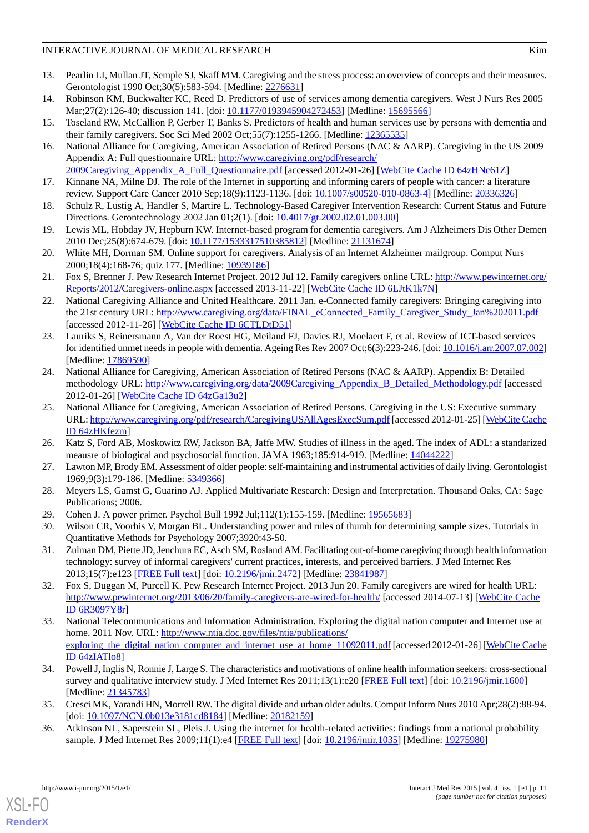#### INTERACTIVE JOURNAL OF MEDICAL RESEARCH WITH THE SECOND MANAGEMENT CONTROL AND MANY RIM

- <span id="page-10-0"></span>13. Pearlin LI, Mullan JT, Semple SJ, Skaff MM. Caregiving and the stress process: an overview of concepts and their measures. Gerontologist 1990 Oct;30(5):583-594. [Medline: [2276631\]](http://www.ncbi.nlm.nih.gov/entrez/query.fcgi?cmd=Retrieve&db=PubMed&list_uids=2276631&dopt=Abstract)
- <span id="page-10-1"></span>14. Robinson KM, Buckwalter KC, Reed D. Predictors of use of services among dementia caregivers. West J Nurs Res 2005 Mar; 27(2): 126-40; discussion 141. [doi: [10.1177/0193945904272453\]](http://dx.doi.org/10.1177/0193945904272453) [Medline: [15695566\]](http://www.ncbi.nlm.nih.gov/entrez/query.fcgi?cmd=Retrieve&db=PubMed&list_uids=15695566&dopt=Abstract)
- <span id="page-10-3"></span><span id="page-10-2"></span>15. Toseland RW, McCallion P, Gerber T, Banks S. Predictors of health and human services use by persons with dementia and their family caregivers. Soc Sci Med 2002 Oct;55(7):1255-1266. [Medline: [12365535](http://www.ncbi.nlm.nih.gov/entrez/query.fcgi?cmd=Retrieve&db=PubMed&list_uids=12365535&dopt=Abstract)]
- 16. National Alliance for Caregiving, American Association of Retired Persons (NAC & AARP). Caregiving in the US 2009 Appendix A: Full questionnaire URL: [http://www.caregiving.org/pdf/research/](http://www.caregiving.org/pdf/research/2009Caregiving_Appendix_A_Full_Questionnaire.pdf)
- <span id="page-10-5"></span><span id="page-10-4"></span>[2009Caregiving\\_Appendix\\_A\\_Full\\_Questionnaire.pdf](http://www.caregiving.org/pdf/research/2009Caregiving_Appendix_A_Full_Questionnaire.pdf) [accessed 2012-01-26] [\[WebCite Cache ID 64zHNc61Z\]](http://www.webcitation.org/

                                    64zHNc61Z) 17. Kinnane NA, Milne DJ. The role of the Internet in supporting and informing carers of people with cancer: a literature review. Support Care Cancer 2010 Sep;18(9):1123-1136. [doi: [10.1007/s00520-010-0863-4](http://dx.doi.org/10.1007/s00520-010-0863-4)] [Medline: [20336326](http://www.ncbi.nlm.nih.gov/entrez/query.fcgi?cmd=Retrieve&db=PubMed&list_uids=20336326&dopt=Abstract)]
- <span id="page-10-6"></span>18. Schulz R, Lustig A, Handler S, Martire L. Technology-Based Caregiver Intervention Research: Current Status and Future Directions. Gerontechnology 2002 Jan 01;2(1). [doi: [10.4017/gt.2002.02.01.003.00\]](http://dx.doi.org/10.4017/gt.2002.02.01.003.00)
- <span id="page-10-7"></span>19. Lewis ML, Hobday JV, Hepburn KW. Internet-based program for dementia caregivers. Am J Alzheimers Dis Other Demen 2010 Dec;25(8):674-679. [doi: [10.1177/1533317510385812](http://dx.doi.org/10.1177/1533317510385812)] [Medline: [21131674](http://www.ncbi.nlm.nih.gov/entrez/query.fcgi?cmd=Retrieve&db=PubMed&list_uids=21131674&dopt=Abstract)]
- <span id="page-10-8"></span>20. White MH, Dorman SM. Online support for caregivers. Analysis of an Internet Alzheimer mailgroup. Comput Nurs 2000;18(4):168-76; quiz 177. [Medline: [10939186](http://www.ncbi.nlm.nih.gov/entrez/query.fcgi?cmd=Retrieve&db=PubMed&list_uids=10939186&dopt=Abstract)]
- <span id="page-10-9"></span>21. Fox S, Brenner J. Pew Research Internet Project. 2012 Jul 12. Family caregivers online URL: [http://www.pewinternet.org/](http://www.pewinternet.org/Reports/2012/Caregivers-online.aspx) [Reports/2012/Caregivers-online.aspx](http://www.pewinternet.org/Reports/2012/Caregivers-online.aspx) [accessed 2013-11-22] [\[WebCite Cache ID 6LJtK1k7N](http://www.webcitation.org/

                                    6LJtK1k7N)]
- <span id="page-10-10"></span>22. National Caregiving Alliance and United Healthcare. 2011 Jan. e-Connected family caregivers: Bringing caregiving into the 21st century URL: [http://www.caregiving.org/data/FINAL\\_eConnected\\_Family\\_Caregiver\\_Study\\_Jan%202011.pdf](http://www.caregiving.org/data/FINAL_eConnected_Family_Caregiver_Study_Jan%202011.pdf) [accessed 2012-11-26] [\[WebCite Cache ID 6CTLDtD51](http://www.webcitation.org/

                                    6CTLDtD51)]
- <span id="page-10-11"></span>23. Lauriks S, Reinersmann A, Van der Roest HG, Meiland FJ, Davies RJ, Moelaert F, et al. Review of ICT-based services for identified unmet needs in people with dementia. Ageing Res Rev 2007 Oct;6(3):223-246. [doi: [10.1016/j.arr.2007.07.002\]](http://dx.doi.org/10.1016/j.arr.2007.07.002) [Medline: [17869590](http://www.ncbi.nlm.nih.gov/entrez/query.fcgi?cmd=Retrieve&db=PubMed&list_uids=17869590&dopt=Abstract)]
- <span id="page-10-12"></span>24. National Alliance for Caregiving, American Association of Retired Persons (NAC & AARP). Appendix B: Detailed methodology URL: [http://www.caregiving.org/data/2009Caregiving\\_Appendix\\_B\\_Detailed\\_Methodology.pdf](http://www.caregiving.org/data/2009Caregiving_Appendix_B_Detailed_Methodology.pdf) [accessed 2012-01-26] [\[WebCite Cache ID 64zGa13u2](http://www.webcitation.org/

                                    64zGa13u2)]
- <span id="page-10-14"></span><span id="page-10-13"></span>25. National Alliance for Caregiving, American Association of Retired Persons. Caregiving in the US: Executive summary URL:<http://www.caregiving.org/pdf/research/CaregivingUSAllAgesExecSum.pdf> [accessed 2012-01-25] [\[WebCite Cache](http://www.webcitation.org/

                                    64zHKfezm) [ID 64zHKfezm](http://www.webcitation.org/

                                    64zHKfezm)]
- <span id="page-10-15"></span>26. Katz S, Ford AB, Moskowitz RW, Jackson BA, Jaffe MW. Studies of illness in the aged. The index of ADL: a standarized meausre of biological and psychosocial function. JAMA 1963;185:914-919. [Medline: [14044222](http://www.ncbi.nlm.nih.gov/entrez/query.fcgi?cmd=Retrieve&db=PubMed&list_uids=14044222&dopt=Abstract)]
- <span id="page-10-16"></span>27. Lawton MP, Brody EM. Assessment of older people: self-maintaining and instrumental activities of daily living. Gerontologist 1969;9(3):179-186. [Medline: [5349366](http://www.ncbi.nlm.nih.gov/entrez/query.fcgi?cmd=Retrieve&db=PubMed&list_uids=5349366&dopt=Abstract)]
- <span id="page-10-17"></span>28. Meyers LS, Gamst G, Guarino AJ. Applied Multivariate Research: Design and Interpretation. Thousand Oaks, CA: Sage Publications; 2006.
- 29. Cohen J. A power primer. Psychol Bull 1992 Jul;112(1):155-159. [Medline: [19565683\]](http://www.ncbi.nlm.nih.gov/entrez/query.fcgi?cmd=Retrieve&db=PubMed&list_uids=19565683&dopt=Abstract)
- <span id="page-10-18"></span>30. Wilson CR, Voorhis V, Morgan BL. Understanding power and rules of thumb for determining sample sizes. Tutorials in Quantitative Methods for Psychology 2007;3920:43-50.
- <span id="page-10-19"></span>31. Zulman DM, Piette JD, Jenchura EC, Asch SM, Rosland AM. Facilitating out-of-home caregiving through health information technology: survey of informal caregivers' current practices, interests, and perceived barriers. J Med Internet Res 2013;15(7):e123 [\[FREE Full text](http://www.jmir.org/2013/7/e123/)] [doi: [10.2196/jmir.2472](http://dx.doi.org/10.2196/jmir.2472)] [Medline: [23841987](http://www.ncbi.nlm.nih.gov/entrez/query.fcgi?cmd=Retrieve&db=PubMed&list_uids=23841987&dopt=Abstract)]
- <span id="page-10-20"></span>32. Fox S, Duggan M, Purcell K. Pew Research Internet Project. 2013 Jun 20. Family caregivers are wired for health URL: <http://www.pewinternet.org/2013/06/20/family-caregivers-are-wired-for-health/> [accessed 2014-07-13] [[WebCite Cache](http://www.webcitation.org/

                                    6R3097Y8r) [ID 6R3097Y8r\]](http://www.webcitation.org/

                                    6R3097Y8r)
- <span id="page-10-22"></span>33. National Telecommunications and Information Administration. Exploring the digital nation computer and Internet use at home. 2011 Nov. URL: [http://www.ntia.doc.gov/files/ntia/publications/](http://www.ntia.doc.gov/files/ntia/publications/exploring_the_digital_nation_computer_and_internet_use_at_home_11092011.pdf) exploring the digital nation computer and internet use at home 11092011.pdf [accessed 2012-01-26] [[WebCite Cache](http://www.webcitation.org/

                                    64zIATlo8) [ID 64zIATlo8](http://www.webcitation.org/

                                    64zIATlo8)]
- <span id="page-10-21"></span>34. Powell J, Inglis N, Ronnie J, Large S. The characteristics and motivations of online health information seekers: cross-sectional survey and qualitative interview study. J Med Internet Res 2011;13(1):e20 [\[FREE Full text\]](http://www.jmir.org/2011/1/e20/) [doi: [10.2196/jmir.1600](http://dx.doi.org/10.2196/jmir.1600)] [Medline: [21345783](http://www.ncbi.nlm.nih.gov/entrez/query.fcgi?cmd=Retrieve&db=PubMed&list_uids=21345783&dopt=Abstract)]
- 35. Cresci MK, Yarandi HN, Morrell RW. The digital divide and urban older adults. Comput Inform Nurs 2010 Apr;28(2):88-94. [doi: [10.1097/NCN.0b013e3181cd8184\]](http://dx.doi.org/10.1097/NCN.0b013e3181cd8184) [Medline: [20182159\]](http://www.ncbi.nlm.nih.gov/entrez/query.fcgi?cmd=Retrieve&db=PubMed&list_uids=20182159&dopt=Abstract)
- 36. Atkinson NL, Saperstein SL, Pleis J. Using the internet for health-related activities: findings from a national probability sample. J Med Internet Res 2009;11(1):e4 [[FREE Full text](http://www.jmir.org/2009/1/e4/)] [doi: [10.2196/jmir.1035](http://dx.doi.org/10.2196/jmir.1035)] [Medline: [19275980\]](http://www.ncbi.nlm.nih.gov/entrez/query.fcgi?cmd=Retrieve&db=PubMed&list_uids=19275980&dopt=Abstract)

[XSL](http://www.w3.org/Style/XSL)•FO **[RenderX](http://www.renderx.com/)**